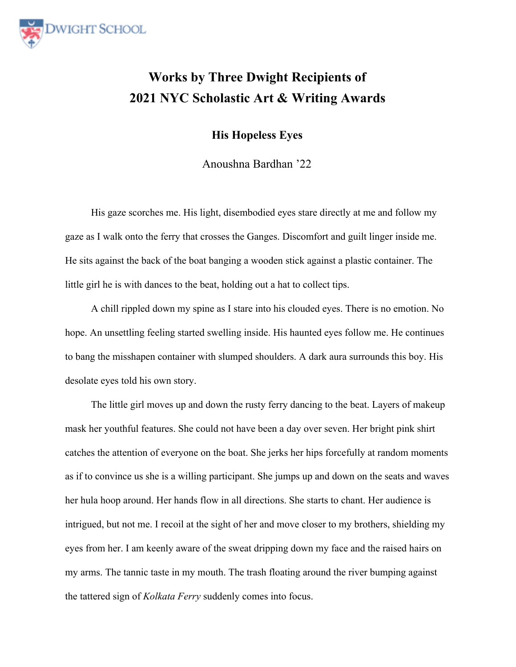

## **Works by Three Dwight Recipients of 2021 NYC Scholastic Art & Writing Awards**

**His Hopeless Eyes**

Anoushna Bardhan '22

His gaze scorches me. His light, disembodied eyes stare directly at me and follow my gaze as I walk onto the ferry that crosses the Ganges. Discomfort and guilt linger inside me. He sits against the back of the boat banging a wooden stick against a plastic container. The little girl he is with dances to the beat, holding out a hat to collect tips.

A chill rippled down my spine as I stare into his clouded eyes. There is no emotion. No hope. An unsettling feeling started swelling inside. His haunted eyes follow me. He continues to bang the misshapen container with slumped shoulders. A dark aura surrounds this boy. His desolate eyes told his own story.

The little girl moves up and down the rusty ferry dancing to the beat. Layers of makeup mask her youthful features. She could not have been a day over seven. Her bright pink shirt catches the attention of everyone on the boat. She jerks her hips forcefully at random moments as if to convince us she is a willing participant. She jumps up and down on the seats and waves her hula hoop around. Her hands flow in all directions. She starts to chant. Her audience is intrigued, but not me. I recoil at the sight of her and move closer to my brothers, shielding my eyes from her. I am keenly aware of the sweat dripping down my face and the raised hairs on my arms. The tannic taste in my mouth. The trash floating around the river bumping against the tattered sign of *Kolkata Ferry* suddenly comes into focus.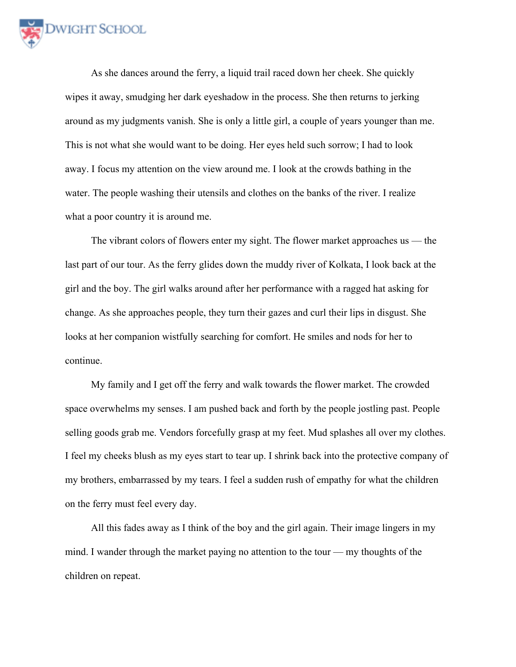

As she dances around the ferry, a liquid trail raced down her cheek. She quickly wipes it away, smudging her dark eyeshadow in the process. She then returns to jerking around as my judgments vanish. She is only a little girl, a couple of years younger than me. This is not what she would want to be doing. Her eyes held such sorrow; I had to look away. I focus my attention on the view around me. I look at the crowds bathing in the water. The people washing their utensils and clothes on the banks of the river. I realize what a poor country it is around me.

The vibrant colors of flowers enter my sight. The flower market approaches us — the last part of our tour. As the ferry glides down the muddy river of Kolkata, I look back at the girl and the boy. The girl walks around after her performance with a ragged hat asking for change. As she approaches people, they turn their gazes and curl their lips in disgust. She looks at her companion wistfully searching for comfort. He smiles and nods for her to continue.

My family and I get off the ferry and walk towards the flower market. The crowded space overwhelms my senses. I am pushed back and forth by the people jostling past. People selling goods grab me. Vendors forcefully grasp at my feet. Mud splashes all over my clothes. I feel my cheeks blush as my eyes start to tear up. I shrink back into the protective company of my brothers, embarrassed by my tears. I feel a sudden rush of empathy for what the children on the ferry must feel every day.

All this fades away as I think of the boy and the girl again. Their image lingers in my mind. I wander through the market paying no attention to the tour — my thoughts of the children on repeat.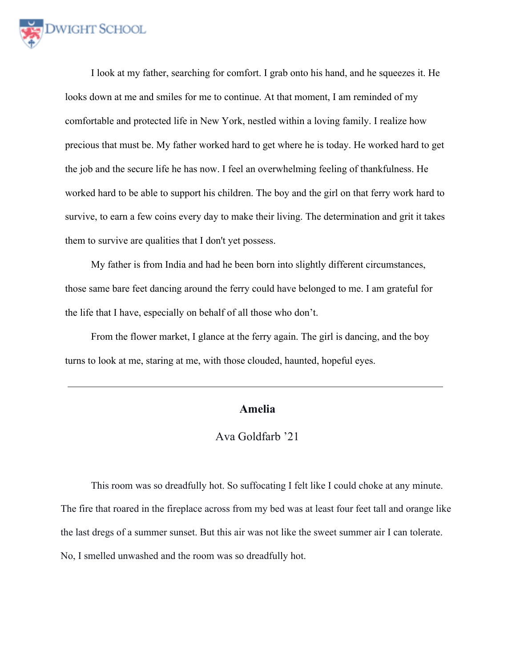

I look at my father, searching for comfort. I grab onto his hand, and he squeezes it. He looks down at me and smiles for me to continue. At that moment, I am reminded of my comfortable and protected life in New York, nestled within a loving family. I realize how precious that must be. My father worked hard to get where he is today. He worked hard to get the job and the secure life he has now. I feel an overwhelming feeling of thankfulness. He worked hard to be able to support his children. The boy and the girl on that ferry work hard to survive, to earn a few coins every day to make their living. The determination and grit it takes them to survive are qualities that I don't yet possess.

My father is from India and had he been born into slightly different circumstances, those same bare feet dancing around the ferry could have belonged to me. I am grateful for the life that I have, especially on behalf of all those who don't.

From the flower market, I glance at the ferry again. The girl is dancing, and the boy turns to look at me, staring at me, with those clouded, haunted, hopeful eyes.

## **Amelia**

## Ava Goldfarb '21

This room was so dreadfully hot. So suffocating I felt like I could choke at any minute. The fire that roared in the fireplace across from my bed was at least four feet tall and orange like the last dregs of a summer sunset. But this air was not like the sweet summer air I can tolerate. No, I smelled unwashed and the room was so dreadfully hot.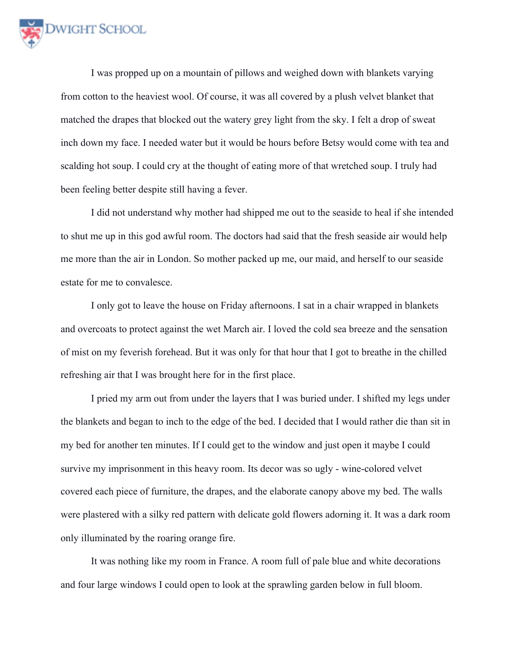

I was propped up on a mountain of pillows and weighed down with blankets varying from cotton to the heaviest wool. Of course, it was all covered by a plush velvet blanket that matched the drapes that blocked out the watery grey light from the sky. I felt a drop of sweat inch down my face. I needed water but it would be hours before Betsy would come with tea and scalding hot soup. I could cry at the thought of eating more of that wretched soup. I truly had been feeling better despite still having a fever.

I did not understand why mother had shipped me out to the seaside to heal if she intended to shut me up in this god awful room. The doctors had said that the fresh seaside air would help me more than the air in London. So mother packed up me, our maid, and herself to our seaside estate for me to convalesce.

I only got to leave the house on Friday afternoons. I sat in a chair wrapped in blankets and overcoats to protect against the wet March air. I loved the cold sea breeze and the sensation of mist on my feverish forehead. But it was only for that hour that I got to breathe in the chilled refreshing air that I was brought here for in the first place.

I pried my arm out from under the layers that I was buried under. I shifted my legs under the blankets and began to inch to the edge of the bed. I decided that I would rather die than sit in my bed for another ten minutes. If I could get to the window and just open it maybe I could survive my imprisonment in this heavy room. Its decor was so ugly - wine-colored velvet covered each piece of furniture, the drapes, and the elaborate canopy above my bed. The walls were plastered with a silky red pattern with delicate gold flowers adorning it. It was a dark room only illuminated by the roaring orange fire.

It was nothing like my room in France. A room full of pale blue and white decorations and four large windows I could open to look at the sprawling garden below in full bloom.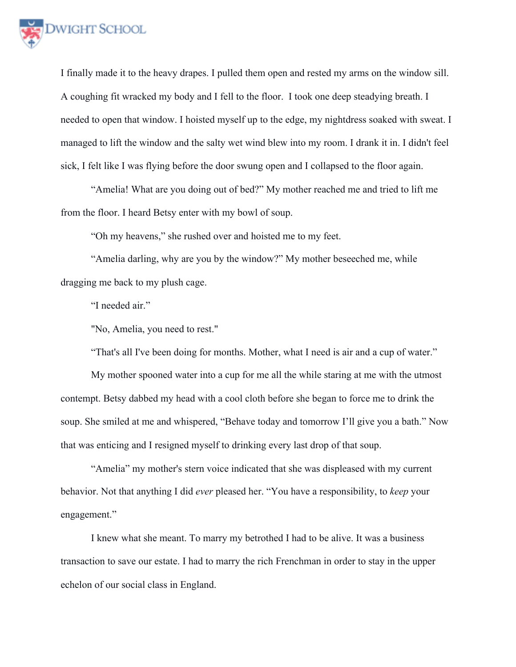

I finally made it to the heavy drapes. I pulled them open and rested my arms on the window sill. A coughing fit wracked my body and I fell to the floor. I took one deep steadying breath. I needed to open that window. I hoisted myself up to the edge, my nightdress soaked with sweat. I managed to lift the window and the salty wet wind blew into my room. I drank it in. I didn't feel sick, I felt like I was flying before the door swung open and I collapsed to the floor again.

"Amelia! What are you doing out of bed?" My mother reached me and tried to lift me from the floor. I heard Betsy enter with my bowl of soup.

"Oh my heavens," she rushed over and hoisted me to my feet.

"Amelia darling, why are you by the window?" My mother beseeched me, while dragging me back to my plush cage.

"I needed air."

"No, Amelia, you need to rest."

"That's all I've been doing for months. Mother, what I need is air and a cup of water."

My mother spooned water into a cup for me all the while staring at me with the utmost contempt. Betsy dabbed my head with a cool cloth before she began to force me to drink the soup. She smiled at me and whispered, "Behave today and tomorrow I'll give you a bath." Now that was enticing and I resigned myself to drinking every last drop of that soup.

"Amelia" my mother's stern voice indicated that she was displeased with my current behavior. Not that anything I did *ever* pleased her. "You have a responsibility, to *keep* your engagement."

I knew what she meant. To marry my betrothed I had to be alive. It was a business transaction to save our estate. I had to marry the rich Frenchman in order to stay in the upper echelon of our social class in England.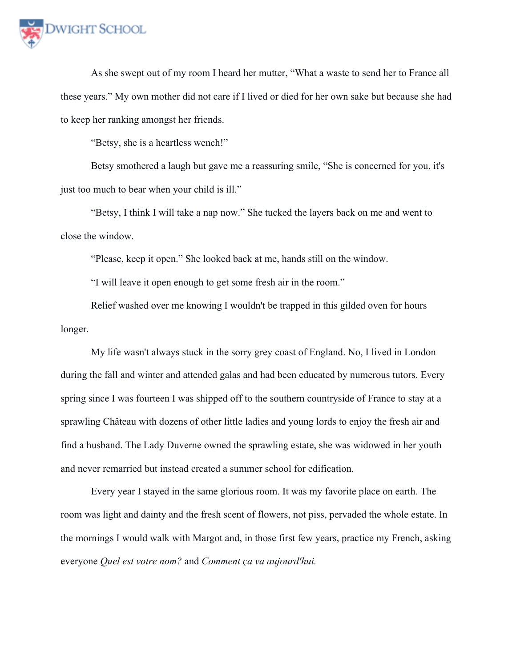

As she swept out of my room I heard her mutter, "What a waste to send her to France all these years." My own mother did not care if I lived or died for her own sake but because she had to keep her ranking amongst her friends.

"Betsy, she is a heartless wench!"

Betsy smothered a laugh but gave me a reassuring smile, "She is concerned for you, it's just too much to bear when your child is ill."

"Betsy, I think I will take a nap now." She tucked the layers back on me and went to close the window.

"Please, keep it open." She looked back at me, hands still on the window.

"I will leave it open enough to get some fresh air in the room."

Relief washed over me knowing I wouldn't be trapped in this gilded oven for hours longer.

My life wasn't always stuck in the sorry grey coast of England. No, I lived in London during the fall and winter and attended galas and had been educated by numerous tutors. Every spring since I was fourteen I was shipped off to the southern countryside of France to stay at a sprawling Château with dozens of other little ladies and young lords to enjoy the fresh air and find a husband. The Lady Duverne owned the sprawling estate, she was widowed in her youth and never remarried but instead created a summer school for edification.

Every year I stayed in the same glorious room. It was my favorite place on earth. The room was light and dainty and the fresh scent of flowers, not piss, pervaded the whole estate. In the mornings I would walk with Margot and, in those first few years, practice my French, asking everyone *Quel est votre nom?* and *Comment ça va aujourd'hui.*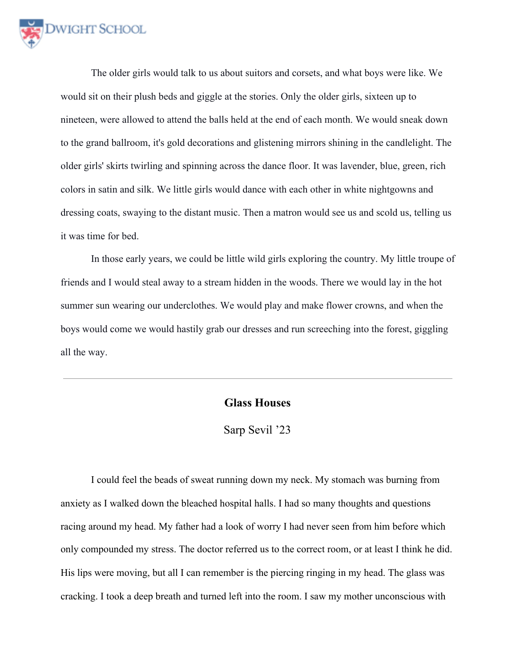

The older girls would talk to us about suitors and corsets, and what boys were like. We would sit on their plush beds and giggle at the stories. Only the older girls, sixteen up to nineteen, were allowed to attend the balls held at the end of each month. We would sneak down to the grand ballroom, it's gold decorations and glistening mirrors shining in the candlelight. The older girls' skirts twirling and spinning across the dance floor. It was lavender, blue, green, rich colors in satin and silk. We little girls would dance with each other in white nightgowns and dressing coats, swaying to the distant music. Then a matron would see us and scold us, telling us it was time for bed.

In those early years, we could be little wild girls exploring the country. My little troupe of friends and I would steal away to a stream hidden in the woods. There we would lay in the hot summer sun wearing our underclothes. We would play and make flower crowns, and when the boys would come we would hastily grab our dresses and run screeching into the forest, giggling all the way.

## **Glass Houses**

Sarp Sevil '23

I could feel the beads of sweat running down my neck. My stomach was burning from anxiety as I walked down the bleached hospital halls. I had so many thoughts and questions racing around my head. My father had a look of worry I had never seen from him before which only compounded my stress. The doctor referred us to the correct room, or at least I think he did. His lips were moving, but all I can remember is the piercing ringing in my head. The glass was cracking. I took a deep breath and turned left into the room. I saw my mother unconscious with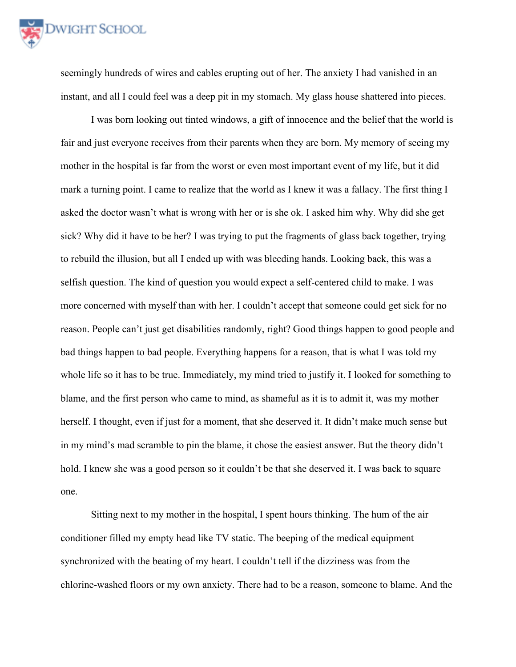

seemingly hundreds of wires and cables erupting out of her. The anxiety I had vanished in an instant, and all I could feel was a deep pit in my stomach. My glass house shattered into pieces.

I was born looking out tinted windows, a gift of innocence and the belief that the world is fair and just everyone receives from their parents when they are born. My memory of seeing my mother in the hospital is far from the worst or even most important event of my life, but it did mark a turning point. I came to realize that the world as I knew it was a fallacy. The first thing I asked the doctor wasn't what is wrong with her or is she ok. I asked him why. Why did she get sick? Why did it have to be her? I was trying to put the fragments of glass back together, trying to rebuild the illusion, but all I ended up with was bleeding hands. Looking back, this was a selfish question. The kind of question you would expect a self-centered child to make. I was more concerned with myself than with her. I couldn't accept that someone could get sick for no reason. People can't just get disabilities randomly, right? Good things happen to good people and bad things happen to bad people. Everything happens for a reason, that is what I was told my whole life so it has to be true. Immediately, my mind tried to justify it. I looked for something to blame, and the first person who came to mind, as shameful as it is to admit it, was my mother herself. I thought, even if just for a moment, that she deserved it. It didn't make much sense but in my mind's mad scramble to pin the blame, it chose the easiest answer. But the theory didn't hold. I knew she was a good person so it couldn't be that she deserved it. I was back to square one.

Sitting next to my mother in the hospital, I spent hours thinking. The hum of the air conditioner filled my empty head like TV static. The beeping of the medical equipment synchronized with the beating of my heart. I couldn't tell if the dizziness was from the chlorine-washed floors or my own anxiety. There had to be a reason, someone to blame. And the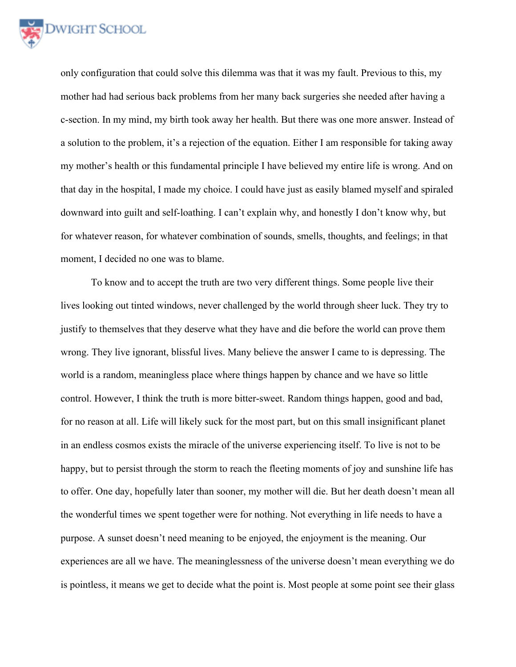

only configuration that could solve this dilemma was that it was my fault. Previous to this, my mother had had serious back problems from her many back surgeries she needed after having a c-section. In my mind, my birth took away her health. But there was one more answer. Instead of a solution to the problem, it's a rejection of the equation. Either I am responsible for taking away my mother's health or this fundamental principle I have believed my entire life is wrong. And on that day in the hospital, I made my choice. I could have just as easily blamed myself and spiraled downward into guilt and self-loathing. I can't explain why, and honestly I don't know why, but for whatever reason, for whatever combination of sounds, smells, thoughts, and feelings; in that moment, I decided no one was to blame.

To know and to accept the truth are two very different things. Some people live their lives looking out tinted windows, never challenged by the world through sheer luck. They try to justify to themselves that they deserve what they have and die before the world can prove them wrong. They live ignorant, blissful lives. Many believe the answer I came to is depressing. The world is a random, meaningless place where things happen by chance and we have so little control. However, I think the truth is more bitter-sweet. Random things happen, good and bad, for no reason at all. Life will likely suck for the most part, but on this small insignificant planet in an endless cosmos exists the miracle of the universe experiencing itself. To live is not to be happy, but to persist through the storm to reach the fleeting moments of joy and sunshine life has to offer. One day, hopefully later than sooner, my mother will die. But her death doesn't mean all the wonderful times we spent together were for nothing. Not everything in life needs to have a purpose. A sunset doesn't need meaning to be enjoyed, the enjoyment is the meaning. Our experiences are all we have. The meaninglessness of the universe doesn't mean everything we do is pointless, it means we get to decide what the point is. Most people at some point see their glass